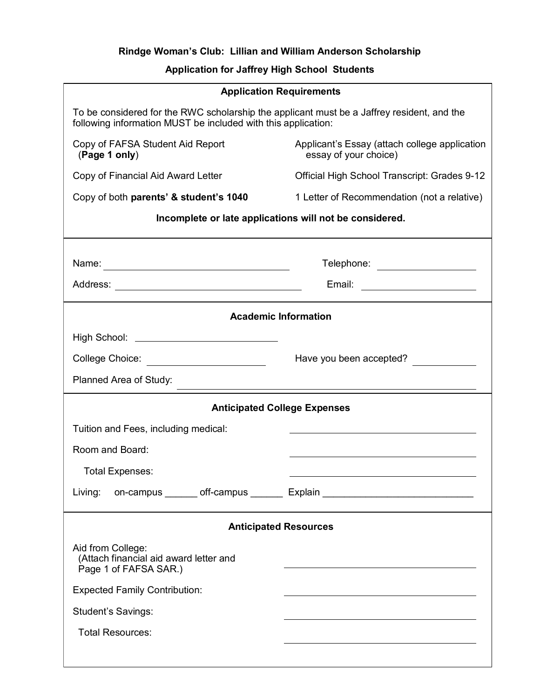## **Rindge Woman's Club: Lillian and William Anderson Scholarship**

## **Application for Jaffrey High School Students**

| <b>Application Requirements</b>                                                                                                                             |                                                                                                                                                                                                                               |
|-------------------------------------------------------------------------------------------------------------------------------------------------------------|-------------------------------------------------------------------------------------------------------------------------------------------------------------------------------------------------------------------------------|
| To be considered for the RWC scholarship the applicant must be a Jaffrey resident, and the<br>following information MUST be included with this application: |                                                                                                                                                                                                                               |
| Copy of FAFSA Student Aid Report<br>(Page 1 only)                                                                                                           | Applicant's Essay (attach college application<br>essay of your choice)                                                                                                                                                        |
| Copy of Financial Aid Award Letter                                                                                                                          | Official High School Transcript: Grades 9-12                                                                                                                                                                                  |
| Copy of both parents' & student's 1040                                                                                                                      | 1 Letter of Recommendation (not a relative)                                                                                                                                                                                   |
| Incomplete or late applications will not be considered.                                                                                                     |                                                                                                                                                                                                                               |
|                                                                                                                                                             | Telephone: __________________                                                                                                                                                                                                 |
|                                                                                                                                                             | Email: ______________________                                                                                                                                                                                                 |
| <b>Academic Information</b>                                                                                                                                 |                                                                                                                                                                                                                               |
| High School: <u>______________________________</u>                                                                                                          |                                                                                                                                                                                                                               |
|                                                                                                                                                             | Have you been accepted?                                                                                                                                                                                                       |
| Planned Area of Study:                                                                                                                                      |                                                                                                                                                                                                                               |
| <b>Anticipated College Expenses</b>                                                                                                                         |                                                                                                                                                                                                                               |
| Tuition and Fees, including medical:                                                                                                                        |                                                                                                                                                                                                                               |
| Room and Board:                                                                                                                                             |                                                                                                                                                                                                                               |
| <b>Total Expenses:</b>                                                                                                                                      |                                                                                                                                                                                                                               |
| Living:                                                                                                                                                     | on-campus off-campus Explain                                                                                                                                                                                                  |
| <b>Anticipated Resources</b>                                                                                                                                |                                                                                                                                                                                                                               |
| Aid from College:<br>(Attach financial aid award letter and<br>Page 1 of FAFSA SAR.)                                                                        |                                                                                                                                                                                                                               |
| <b>Expected Family Contribution:</b>                                                                                                                        | the control of the control of the control of the control of the control of the control of the control of the control of the control of the control of the control of the control of the control of the control of the control |
| <b>Student's Savings:</b>                                                                                                                                   |                                                                                                                                                                                                                               |
| <b>Total Resources:</b>                                                                                                                                     |                                                                                                                                                                                                                               |
|                                                                                                                                                             |                                                                                                                                                                                                                               |